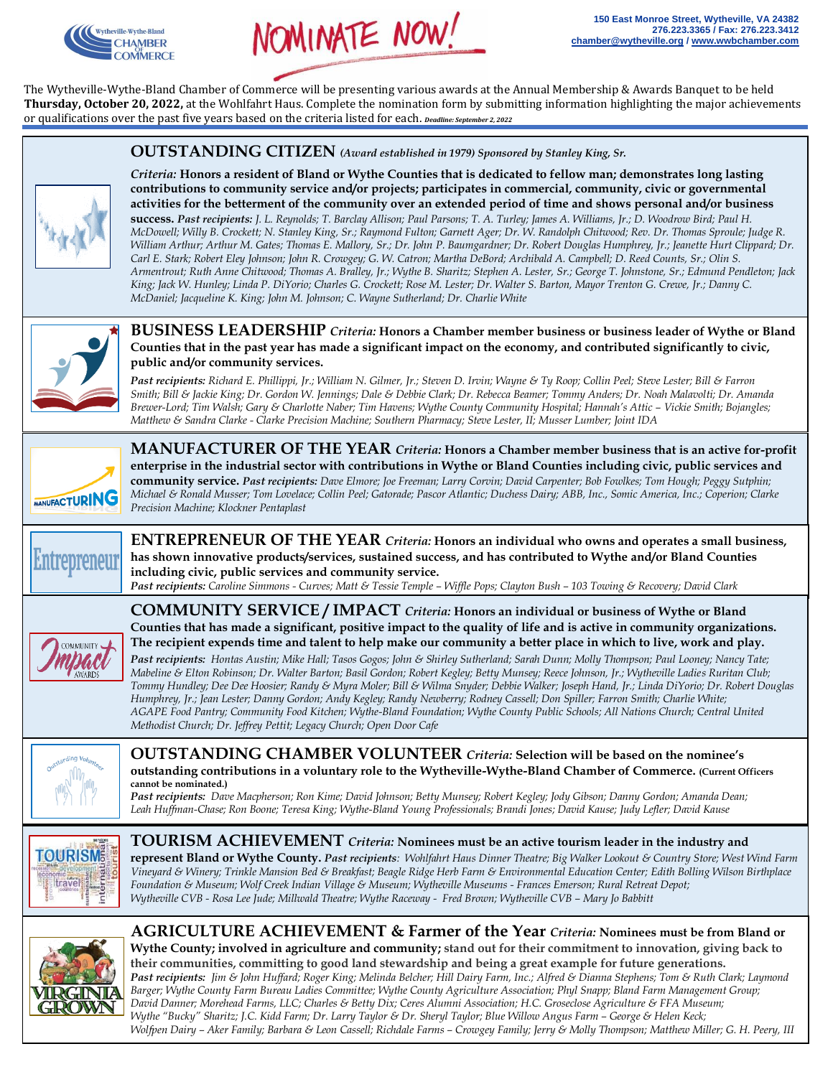



The Wytheville-Wythe-Bland Chamber of Commerce will be presenting various awards at the Annual Membership & Awards Banquet to be held **Thursday, October 20, 2022,** at the Wohlfahrt Haus. Complete the nomination form by submitting information highlighting the major achievements or qualifications over the past five years based on the criteria listed for each. *Deadline: September 2, 2022*

 **OUTSTANDING CITIZEN** *(Award established in 1979) Sponsored by Stanley King, Sr.* 



*Criteria:* **Honors a resident of Bland or Wythe Counties that is dedicated to fellow man; demonstrates long lasting contributions to community service and/or projects; participates in commercial, community, civic or governmental activities for the betterment of the community over an extended period of time and shows personal and/or business success.** *Past recipients: J. L. Reynolds; T. Barclay Allison; Paul Parsons; T. A. Turley; James A. Williams, Jr.; D. Woodrow Bird; Paul H. McDowell; Willy B. Crockett; N. Stanley King, Sr.; Raymond Fulton; Garnett Ager; Dr. W. Randolph Chitwood; Rev. Dr. Thomas Sproule; Judge R. William Arthur; Arthur M. Gates; Thomas E. Mallory, Sr.; Dr. John P. Baumgardner; Dr. Robert Douglas Humphrey, Jr.; Jeanette Hurt Clippard; Dr. Carl E. Stark; Robert Eley Johnson; John R. Crowgey; G. W. Catron; Martha DeBord; Archibald A. Campbell; D. Reed Counts, Sr.; Olin S. Armentrout; Ruth Anne Chitwood; Thomas A. Bralley, Jr.; Wythe B. Sharitz; Stephen A. Lester, Sr.; George T. Johnstone, Sr.; Edmund Pendleton; Jack King; Jack W. Hunley; Linda P. DiYorio; Charles G. Crockett; Rose M. Lester; Dr. Walter S. Barton, Mayor Trenton G. Crewe, Jr.; Danny C. McDaniel; Jacqueline K. King; John M. Johnson; C. Wayne Sutherland; Dr. Charlie White*



**BUSINESS LEADERSHIP** *Criteria:* **Honors a Chamber member business or business leader of Wythe or Bland Counties that in the past year has made a significant impact on the economy, and contributed significantly to civic, public and/or community services.** 

*Past recipients: Richard E. Phillippi, Jr.; William N. Gilmer, Jr.; Steven D. Irvin; Wayne & Ty Roop; Collin Peel; Steve Lester; Bill & Farron Smith; Bill & Jackie King; Dr. Gordon W. Jennings; Dale & Debbie Clark; Dr. Rebecca Beamer; Tommy Anders; Dr. Noah Malavolti; Dr. Amanda Brewer-Lord; Tim Walsh; Gary & Charlotte Naber; Tim Havens; Wythe County Community Hospital; Hannah's Attic – Vickie Smith; Bojangles; Matthew & Sandra Clarke - Clarke Precision Machine; Southern Pharmacy; Steve Lester, II; Musser Lumber; Joint IDA*



**MANUFACTURER OF THE YEAR** *Criteria:* **Honors a Chamber member business that is an active for-profit enterprise in the industrial sector with contributions in Wythe or Bland Counties including civic, public services and community service.** *Past recipients: Dave Elmore; Joe Freeman; Larry Corvin; David Carpenter; Bob Fowlkes; Tom Hough; Peggy Sutphin; Michael & Ronald Musser; Tom Lovelace; Collin Peel; Gatorade; Pascor Atlantic; Duchess Dairy; ABB, Inc., Somic America, Inc.; Coperion; Clarke Precision Machine; Klockner Pentaplast*



**ENTREPRENEUR OF THE YEAR** *Criteria:* **Honors an individual who owns and operates a small business, has shown innovative products/services, sustained success, and has contributed to Wythe and/or Bland Counties including civic, public services and community service.**  *Past recipients: Caroline Simmons - Curves; Matt & Tessie Temple – Wiffle Pops; Clayton Bush – 103 Towing & Recovery; David Clark*



**COMMUNITY SERVICE / IMPACT** *Criteria:* **Honors an individual or business of Wythe or Bland Counties that has made a significant, positive impact to the quality of life and is active in community organizations. The recipient expends time and talent to help make our community a better place in which to live, work and play.**

*Past recipients: Hontas Austin; Mike Hall; Tasos Gogos; John & Shirley Sutherland; Sarah Dunn; Molly Thompson; Paul Looney; Nancy Tate; Mabeline & Elton Robinson; Dr. Walter Barton; Basil Gordon; Robert Kegley; Betty Munsey; Reece Johnson, Jr.; Wytheville Ladies Ruritan Club; Tommy Hundley; Dee Dee Hoosier; Randy & Myra Moler; Bill & Wilma Snyder; Debbie Walker; Joseph Hand, Jr.; Linda DiYorio; Dr. Robert Douglas Humphrey, Jr.; Jean Lester; Danny Gordon; Andy Kegley; Randy Newberry; Rodney Cassell; Don Spiller; Farron Smith; Charlie White; AGAPE Food Pantry; Community Food Kitchen; Wythe-Bland Foundation; Wythe County Public Schools; All Nations Church; Central United Methodist Church; Dr. Jeffrey Pettit; Legacy Church; Open Door Cafe* 



**OUTSTANDING CHAMBER VOLUNTEER** *Criteria:* **Selection will be based on the nominee's outstanding contributions in a voluntary role to the Wytheville-Wythe-Bland Chamber of Commerce. (Current Officers cannot be nominated.)** 

*Past recipients: Dave Macpherson; Ron Kime; David Johnson; Betty Munsey; Robert Kegley; Jody Gibson; Danny Gordon; Amanda Dean; Leah Huffman-Chase; Ron Boone; Teresa King; Wythe-Bland Young Professionals; Brandi Jones; David Kause; Judy Lefler; David Kause*



**TOURISM ACHIEVEMENT** *Criteria:* **Nominees must be an active tourism leader in the industry and represent Bland or Wythe County.** *Past recipients: Wohlfahrt Haus Dinner Theatre; Big Walker Lookout & Country Store; West Wind Farm Vineyard & Winery; Trinkle Mansion Bed & Breakfast; Beagle Ridge Herb Farm & Environmental Education Center; Edith Bolling Wilson Birthplace Foundation & Museum; Wolf Creek Indian Village & Museum; Wytheville Museums - Frances Emerson; Rural Retreat Depot; Wytheville CVB* - Rosa Lee Jude; Millwald Theatre; Wythe Raceway - Fred Brown; Wytheville CVB – Mary Jo Babbitt



**AGRICULTURE ACHIEVEMENT & Farmer of the Year** *Criteria:* **Nominees must be from Bland or Wythe County; involved in agriculture and community; stand out for their commitment to innovation, giving back to** 

**their communities, committing to good land stewardship and being a great example for future generations.** *Past recipients: Jim & John Huffard; Roger King; Melinda Belcher; Hill Dairy Farm, Inc.; Alfred & Dianna Stephens; Tom & Ruth Clark; Laymond Barger; Wythe County Farm Bureau Ladies Committee; Wythe County Agriculture Association; Phyl Snapp; Bland Farm Management Group; David Danner; Morehead Farms, LLC; Charles & Betty Dix; Ceres Alumni Association; H.C. Groseclose Agriculture & FFA Museum; Wythe "Bucky" Sharitz; J.C. Kidd Farm; Dr. Larry Taylor & Dr. Sheryl Taylor; Blue Willow Angus Farm – George & Helen Keck; Wolfpen Dairy – Aker Family; Barbara & Leon Cassell; Richdale Farms – Crowgey Family; Jerry & Molly Thompson; Matthew Miller; G. H. Peery, III*